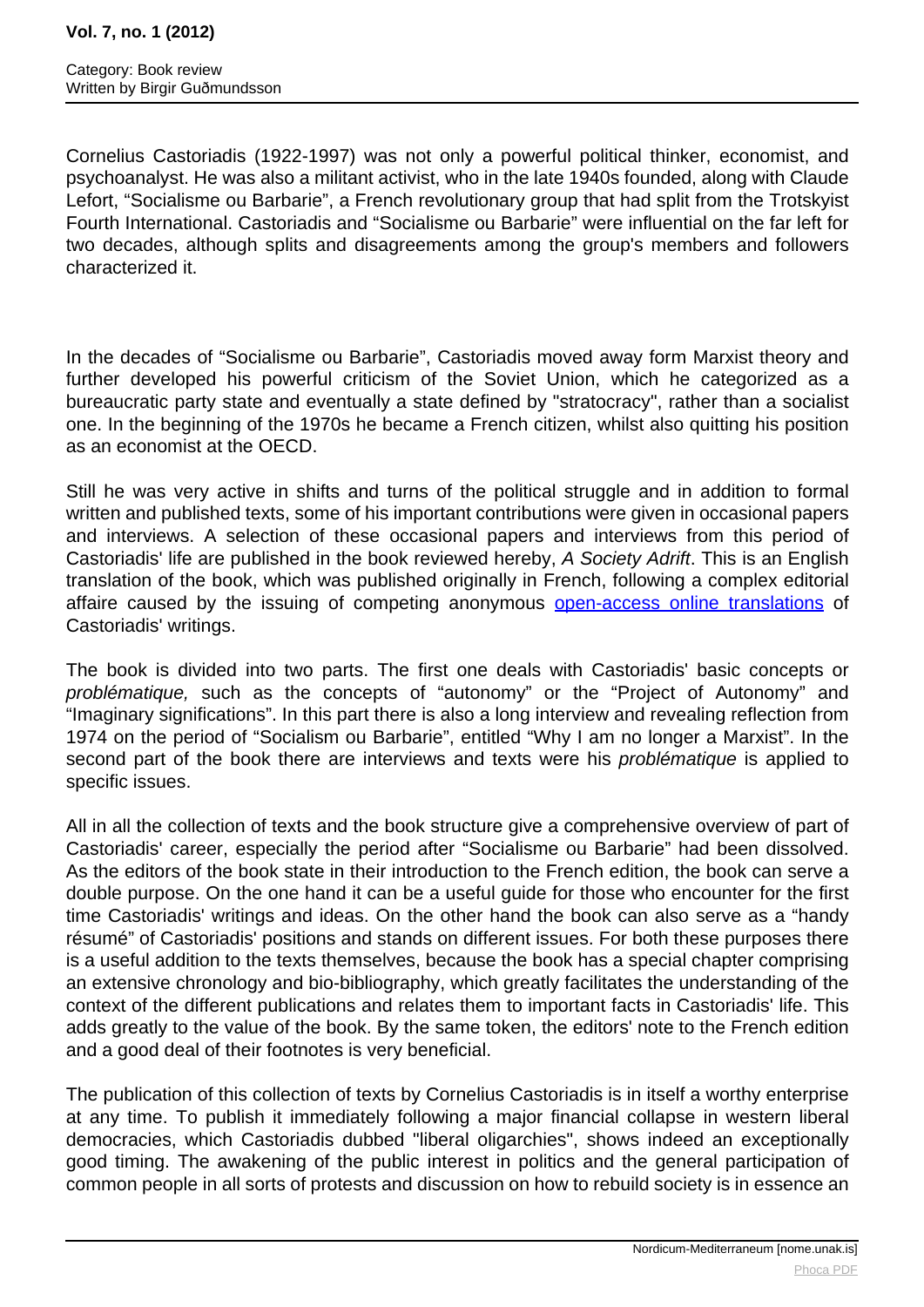## **Vol. 7, no. 1 (2012)**

Cornelius Castoriadis (1922-1997) was not only a powerful political thinker, economist, and psychoanalyst. He was also a militant activist, who in the late 1940s founded, along with Claude Lefort, "Socialisme ou Barbarie", a French revolutionary group that had split from the Trotskyist Fourth International. Castoriadis and "Socialisme ou Barbarie" were influential on the far left for two decades, although splits and disagreements among the group's members and followers characterized it.

In the decades of "Socialisme ou Barbarie", Castoriadis moved away form Marxist theory and further developed his powerful criticism of the Soviet Union, which he categorized as a bureaucratic party state and eventually a state defined by "stratocracy", rather than a socialist one. In the beginning of the 1970s he became a French citizen, whilst also quitting his position as an economist at the OECD.

Still he was very active in shifts and turns of the political struggle and in addition to formal written and published texts, some of his important contributions were given in occasional papers and interviews. A selection of these occasional papers and interviews from this period of Castoriadis' life are published in the book reviewed hereby, A Society Adrift. This is an English translation of the book, which was published originally in French, following a complex editorial affaire caused by the issuing of competing anonym[ous open-access online transla](http://www.notbored.org)tions of Castoriadis' writings.

The book is divided into two parts. The first one deals with Castoriadis' basic concepts or problématique, such as the concepts of "autonomy" or the "Project of Autonomy" and "Imaginary significations". In this part there is also a long interview and revealing reflection from 1974 on the period of "Socialism ou Barbarie", entitled "Why I am no longer a Marxist". In the second part of the book there are interviews and texts were his *problématique* is applied to specific issues.

All in all the collection of texts and the book structure give a comprehensive overview of part of Castoriadis' career, especially the period after "Socialisme ou Barbarie" had been dissolved. As the editors of the book state in their introduction to the French edition, the book can serve a double purpose. On the one hand it can be a useful guide for those who encounter for the first time Castoriadis' writings and ideas. On the other hand the book can also serve as a "handy résumé" of Castoriadis' positions and stands on different issues. For both these purposes there is a useful addition to the texts themselves, because the book has a special chapter comprising an extensive chronology and bio-bibliography, which greatly facilitates the understanding of the context of the different publications and relates them to important facts in Castoriadis' life. This adds greatly to the value of the book. By the same token, the editors' note to the French edition and a good deal of their footnotes is very beneficial.

The publication of this collection of texts by Cornelius Castoriadis is in itself a worthy enterprise at any time. To publish it immediately following a major financial collapse in western liberal democracies, which Castoriadis dubbed "liberal oligarchies", shows indeed an exceptionally good timing. The awakening of the public interest in politics and the general participation of common people in all sorts of protests and discussion on how to rebuild society is in essence an